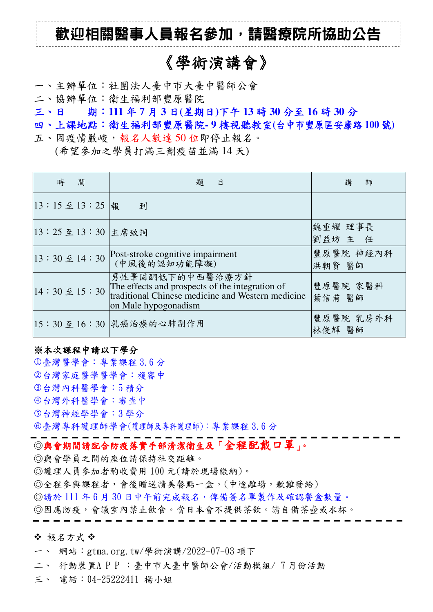歡迎相關醫事人員報名參加,請醫療院所協助公告

# 《學術演講會》

- 一、主辦單位:社團法人臺中市大臺中醫師公會
- 二、協辦單位:衛生福利部豐原醫院
- 三、日期:**111** 年 **7** 月 **3** 日**(**星期日**)**下午 **13** 時 **30** 分至 **16** 時 **30** 分

四、上課地點:衛生福利部豐原醫院 :衛生福利部豐原醫院**- 9** 樓視聽教室**(**台中市豐原區安康路 **100** 號**)**

五、因疫情嚴峻,報名人數達 50 位即停止報名。 (希望參加之學員打滿三劑疫苗並滿 14 天)

| 時                          | 間 | 目<br>題                                                                                                                                          | 講<br>師              |
|----------------------------|---|-------------------------------------------------------------------------------------------------------------------------------------------------|---------------------|
| $13:15 \nsubseteq 13:25$ 報 |   | 到                                                                                                                                               |                     |
| 13:25至13:30  主席致詞          |   |                                                                                                                                                 | 魏重耀 理事長<br>劉益坊 主 任  |
|                            |   | 13:30 至 14:30 Post-stroke cognitive impairment<br>(中風後的認知功能障礙)                                                                                  | 豐原醫院 神經內科<br>洪朝賢 醫師 |
| $14:30 \nleq 15:30$        |   | 男性睪固酮低下的中西醫治療方針<br>The effects and prospects of the integration of<br>traditional Chinese medicine and Western medicine<br>on Male hypogonadism | 豐原醫院 家醫科<br>葉信甫 醫師  |
|                            |   | 15:30至16:30 乳癌治療的心肺副作用                                                                                                                          | 豐原醫院 乳房外科<br>林俊輝 醫師 |

#### ※本次課程申請以下學分

1臺灣醫學會:專業課程 3.6 分

2台灣家庭醫學醫學會:複審中

- 3台灣內科醫學會:5 積分
- 4台灣外科醫學會:審查中
- 5台灣神經學學會:3 學分

6臺灣專科護理師學會(護理師及專科護理師):專業課程 3.6 分

# ◎與會期間請配合防疫落實手部清潔衛生及「全程配戴口罩」。

◎與會學員之間的座位請保持社交距離。

- ◎護理人員參加者酌收費用 100 元(請於現場繳納)。
- ◎全程參與課程者,會後贈送精美餐點一盒。(中途離場,歉難發給)
- ◎請於 111 年 6 月 30 日中午前完成報名,俾備簽名單製作及確認餐盒數量。
- ◎因應防疫,會議室內禁止飲食。當日本會不提供茶飲。請自備茶壺或水杯。

#### ◆ 報名方式 ◆

- 一、 網站:gtma.org.tw/學術演講/2022-07-03 項下
- 二、 行動裝置A P P :臺中市大臺中醫師公會/活動模組/ 7 月份活動
- 三、 電話:04-25222411 楊小姐